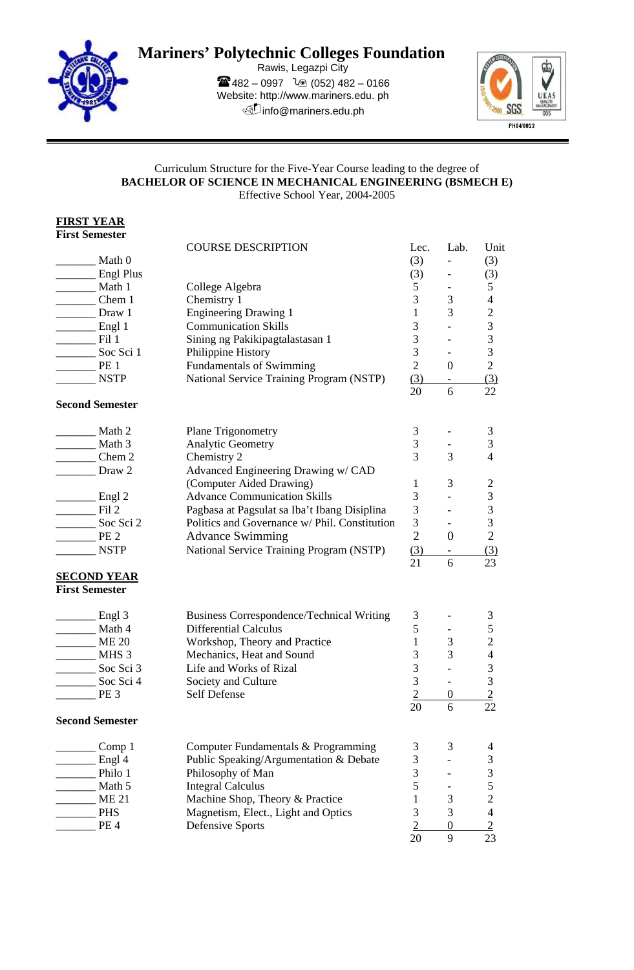

## **Mariners' Polytechnic Colleges Foundation**

Rawis, Legazpi City  $482 - 0997$   $20(052)482 - 0166$ Website: http://www.mariners.edu. ph *<u>Dinfo@mariners.edu.ph</u>* 



## Curriculum Structure for the Five-Year Course leading to the degree of **BACHELOR OF SCIENCE IN MECHANICAL ENGINEERING (BSMECH E)**  Effective School Year, 2004-2005

**FIRST YEAR First Semester**

|                         |                         | <b>COURSE DESCRIPTION</b>                        | Lec.           | Lab.                          | Unit                                       |
|-------------------------|-------------------------|--------------------------------------------------|----------------|-------------------------------|--------------------------------------------|
|                         | Math 0                  |                                                  | (3)            |                               | (3)                                        |
|                         | <b>Engl Plus</b>        |                                                  | (3)            |                               | (3)                                        |
|                         | Math 1                  | College Algebra                                  | 5              | $\overline{\phantom{a}}$      | 5                                          |
|                         | Chem 1                  | Chemistry 1                                      | 3              | 3                             | $\overline{4}$                             |
|                         | Draw 1                  | <b>Engineering Drawing 1</b>                     | $\mathbf{1}$   | 3                             | $\overline{c}$                             |
|                         | $\equiv$ Engl 1         | <b>Communication Skills</b>                      | 3              |                               |                                            |
|                         | Fil 1                   | Sining ng Pakikipagtalastasan 1                  | 3              |                               |                                            |
|                         | Soc Sci 1               | Philippine History                               | 3              |                               | $\begin{array}{c} 3 \\ 3 \\ 3 \end{array}$ |
|                         | PE <sub>1</sub>         | <b>Fundamentals of Swimming</b>                  | $\overline{2}$ | $\overline{0}$                | $\overline{2}$                             |
|                         | <b>NSTP</b>             | National Service Training Program (NSTP)         | (3)            |                               | (3)                                        |
|                         |                         |                                                  | 20             | 6                             | 22                                         |
| <b>Second Semester</b>  |                         |                                                  |                |                               |                                            |
|                         | Math 2                  | <b>Plane Trigonometry</b>                        | 3              |                               | 3                                          |
| Math 3                  |                         | Analytic Geometry                                | 3              | $\overline{\phantom{a}}$      | 3                                          |
| Chem 2                  |                         | Chemistry 2                                      | 3              | 3                             | $\overline{\mathcal{L}}$                   |
| Draw 2                  |                         | Advanced Engineering Drawing w/ CAD              |                |                               |                                            |
|                         |                         | (Computer Aided Drawing)                         | 1              | 3                             | $\sqrt{2}$                                 |
|                         | $\equiv$ Engl 2         | <b>Advance Communication Skills</b>              | 3              |                               | 3                                          |
|                         | Fil 2                   | Pagbasa at Pagsulat sa Iba't Ibang Disiplina     | 3              |                               | $\mathfrak{Z}$                             |
|                         | Soc Sci 2               | Politics and Governance w/ Phil. Constitution    | $\mathfrak{Z}$ |                               | $\mathfrak{Z}$                             |
|                         | PE <sub>2</sub>         | <b>Advance Swimming</b>                          | $\overline{2}$ | $\overline{0}$                | $\overline{2}$                             |
|                         | <b>NSTP</b>             | National Service Training Program (NSTP)         | (3)            |                               | (3)                                        |
|                         |                         |                                                  | 21             | $\overline{\phantom{0}}$<br>6 | 23                                         |
| <b>SECOND YEAR</b>      |                         |                                                  |                |                               |                                            |
| <b>First Semester</b>   |                         |                                                  |                |                               |                                            |
|                         | Engl 3                  | <b>Business Correspondence/Technical Writing</b> | 3              |                               | 3                                          |
|                         | Math 4                  | <b>Differential Calculus</b>                     | 5              | $\overline{\phantom{a}}$      | 5                                          |
|                         | <b>ME 20</b>            | Workshop, Theory and Practice                    | $\mathbf{1}$   | 3                             | $\overline{c}$                             |
| MHS 3                   |                         | Mechanics, Heat and Sound                        | 3              | 3                             | $\overline{\mathbf{4}}$                    |
| $\frac{1}{2}$ Soc Sci 3 |                         | Life and Works of Rizal                          | 3              |                               | $\mathfrak{Z}$                             |
|                         | $\frac{1}{2}$ Soc Sci 4 | Society and Culture                              | 3              |                               |                                            |
|                         | PE <sub>3</sub>         | Self Defense                                     | $\overline{2}$ | $\boldsymbol{0}$              | $\frac{3}{2}$                              |
| <b>Second Semester</b>  |                         |                                                  | 20             | 6                             | 22                                         |
|                         |                         |                                                  |                |                               |                                            |
|                         | Comp 1                  | Computer Fundamentals & Programming              | 3              | 3                             | 4                                          |
|                         | Engl 4                  | Public Speaking/Argumentation & Debate           | 3              |                               | $\mathfrak{Z}$                             |
|                         | Philo 1                 | Philosophy of Man                                | 3              |                               | 3                                          |
|                         | Math 5                  | <b>Integral Calculus</b>                         | 5              | -                             | 5                                          |
|                         | <b>ME 21</b>            | Machine Shop, Theory & Practice                  | 1              | 3                             | $\overline{c}$                             |
|                         | $\_PHS$                 | Magnetism, Elect., Light and Optics              | 3              | 3                             | $\overline{4}$                             |
|                         | PE <sub>4</sub>         | <b>Defensive Sports</b>                          | 2              | $\boldsymbol{0}$              | $\overline{2}$                             |
|                         |                         |                                                  | 20             | 9                             | 23                                         |